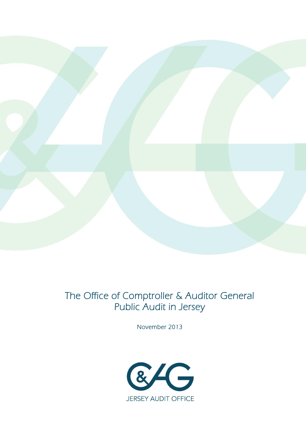

# The Office of Comptroller & Auditor General Public Audit in Jersey

November 2013

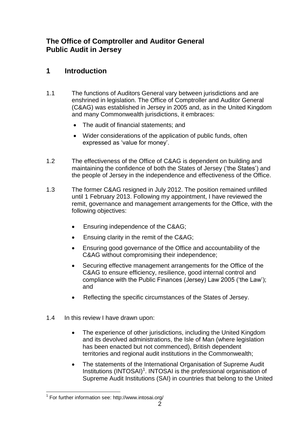# **The Office of Comptroller and Auditor General Public Audit in Jersey**

# **1 Introduction**

- 1.1 The functions of Auditors General vary between jurisdictions and are enshrined in legislation. The Office of Comptroller and Auditor General (C&AG) was established in Jersey in 2005 and, as in the United Kingdom and many Commonwealth jurisdictions, it embraces:
	- The audit of financial statements; and
	- Wider considerations of the application of public funds, often expressed as 'value for money'.
- 1.2 The effectiveness of the Office of C&AG is dependent on building and maintaining the confidence of both the States of Jersey ('the States') and the people of Jersey in the independence and effectiveness of the Office.
- 1.3 The former C&AG resigned in July 2012. The position remained unfilled until 1 February 2013. Following my appointment, I have reviewed the remit, governance and management arrangements for the Office, with the following objectives:
	- Ensuring independence of the C&AG;
	- Ensuing clarity in the remit of the C&AG;
	- Ensuring good governance of the Office and accountability of the C&AG without compromising their independence;
	- Securing effective management arrangements for the Office of the C&AG to ensure efficiency, resilience, good internal control and compliance with the Public Finances (Jersey) Law 2005 ('the Law'); and
	- Reflecting the specific circumstances of the States of Jersey.
- 1.4 In this review I have drawn upon:
	- The experience of other jurisdictions, including the United Kingdom and its devolved administrations, the Isle of Man (where legislation has been enacted but not commenced), British dependent territories and regional audit institutions in the Commonwealth;
	- The statements of the International Organisation of Supreme Audit Institutions (INTOSAI)<sup>1</sup>. INTOSAI is the professional organisation of Supreme Audit Institutions (SAI) in countries that belong to the United

 $\overline{a}$ <sup>1</sup> For further information see: http://www.intosai.org/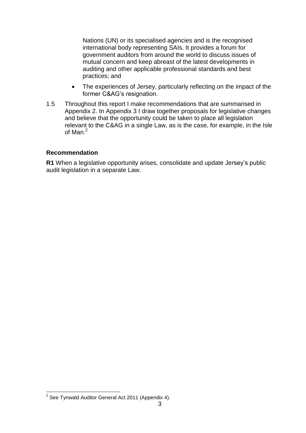Nations (UN) or its specialised agencies and is the recognised international body representing SAIs. It provides a forum for government auditors from around the world to discuss issues of mutual concern and keep abreast of the latest developments in auditing and other applicable professional standards and best practices; and

- The experiences of Jersey, particularly reflecting on the impact of the former C&AG's resignation.
- 1.5 Throughout this report I make recommendations that are summarised in Appendix 2. In Appendix 3 I draw together proposals for legislative changes and believe that the opportunity could be taken to place all legislation relevant to the C&AG in a single Law, as is the case, for example, in the Isle of Man.<sup>2</sup>

#### **Recommendation**

**R1** When a legislative opportunity arises, consolidate and update Jersey's public audit legislation in a separate Law.

 $\overline{a}$  $2$  See Tynwald Auditor General Act 2011 (Appendix 4).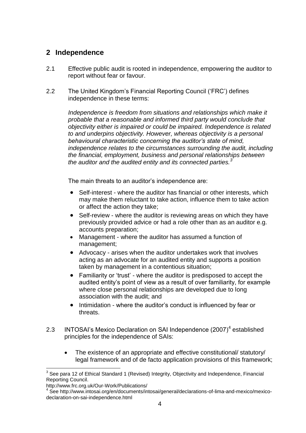## **2 Independence**

- 2.1 Effective public audit is rooted in independence, empowering the auditor to report without fear or favour.
- 2.2 The United Kingdom's Financial Reporting Council ('FRC') defines independence in these terms:

*Independence is freedom from situations and relationships which make it probable that a reasonable and informed third party would conclude that objectivity either is impaired or could be impaired. Independence is related to and underpins objectivity. However, whereas objectivity is a personal behavioural characteristic concerning the auditor's state of mind, independence relates to the circumstances surrounding the audit, including the financial, employment, business and personal relationships between the auditor and the audited entity and its connected parties.<sup>3</sup>*

The main threats to an auditor's independence are:

- Self-interest where the auditor has financial or other interests, which may make them reluctant to take action, influence them to take action or affect the action they take;
- Self-review where the auditor is reviewing areas on which they have previously provided advice or had a role other than as an auditor e.g. accounts preparation;
- Management where the auditor has assumed a function of management;
- Advocacy arises when the auditor undertakes work that involves acting as an advocate for an audited entity and supports a position taken by management in a contentious situation;
- Familiarity or 'trust' where the auditor is predisposed to accept the audited entity's point of view as a result of over familiarity, for example where close personal relationships are developed due to long association with the audit; and
- Intimidation where the auditor's conduct is influenced by fear or threats.
- 2.3 INTOSAI's Mexico Declaration on SAI Independence (2007)<sup>4</sup> established principles for the independence of SAIs:
	- The existence of an appropriate and effective constitutional/ statutory/ legal framework and of de facto application provisions of this framework;

 $\overline{\phantom{a}}$  $3$  See para 12 of Ethical Standard 1 (Revised) Integrity, Objectivity and Independence, Financial Reporting Council.

http://www.frc.org.uk/Our-Work/Publications/

<sup>&</sup>lt;sup>4</sup> See http://www.intosai.org/en/documents/intosai/general/declarations-of-lima-and-mexico/mexicodeclaration-on-sai-independence.html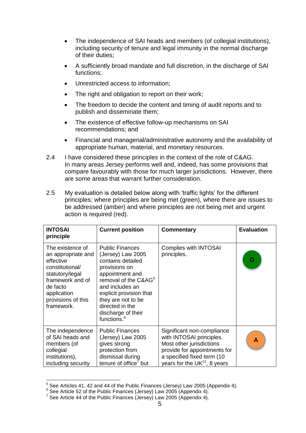- The independence of SAI heads and members (of collegial institutions), including security of tenure and legal immunity in the normal discharge of their duties;
- A sufficiently broad mandate and full discretion, in the discharge of SAI functions;
- Unrestricted access to information:
- The right and obligation to report on their work;
- The freedom to decide the content and timing of audit reports and to publish and disseminate them;
- The existence of effective follow-up mechanisms on SAI recommendations; and
- Financial and managerial/administrative autonomy and the availability of appropriate human, material, and monetary resources.
- 2.4 I have considered these principles in the context of the role of C&AG. In many areas Jersey performs well and, indeed, has some provisions that compare favourably with those for much larger jurisdictions. However, there are some areas that warrant further consideration.
- 2.5 My evaluation is detailed below along with 'traffic lights' for the different principles; where principles are being met (green), where there are issues to be addressed (amber) and where principles are not being met and urgent action is required (red).

| <b>INTOSAI</b><br>principle                                                                                                                                                  | <b>Current position</b>                                                                                                                                                                                                                                                          | <b>Commentary</b>                                                                                                                                                                  | <b>Evaluation</b> |
|------------------------------------------------------------------------------------------------------------------------------------------------------------------------------|----------------------------------------------------------------------------------------------------------------------------------------------------------------------------------------------------------------------------------------------------------------------------------|------------------------------------------------------------------------------------------------------------------------------------------------------------------------------------|-------------------|
| The existence of<br>an appropriate and<br>effective<br>constitutional/<br>statutory/legal<br>framework and of<br>de facto<br>application<br>provisions of this<br>framework. | <b>Public Finances</b><br>(Jersey) Law 2005<br>contains detailed<br>provisions on<br>appointment and<br>removal of the C&AG <sup>5</sup><br>and includes an<br>explicit provision that<br>they are not to be<br>directed in the<br>discharge of their<br>functions. <sup>6</sup> | <b>Complies with INTOSAI</b><br>principles.                                                                                                                                        | G                 |
| The independence<br>of SAI heads and<br>members (of<br>collegial<br>institutions),<br>including security                                                                     | <b>Public Finances</b><br>(Jersey) Law 2005<br>gives strong<br>protection from<br>dismissal during<br>tenure of office <sup>7</sup> but                                                                                                                                          | Significant non-compliance<br>with INTOSAI principles.<br>Most other jurisdictions<br>provide for appointments for<br>a specified fixed term (10<br>years for the $UK11$ , 8 years | A                 |

 5 See Articles 41, 42 and 44 of the Public Finances (Jersey) Law 2005 (Appendix 4).

 $6$  See Article 52 of the Public Finances (Jersey) Law 2005 (Appendix 4).

<sup>&</sup>lt;sup>7</sup> See Article 44 of the Public Finances (Jersey) Law 2005 (Appendix 4).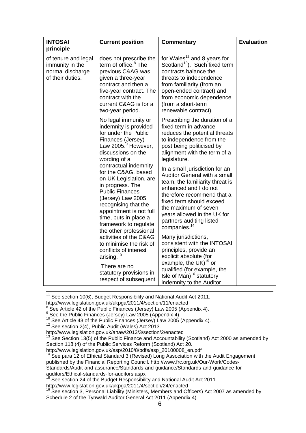| <b>INTOSAI</b><br>principle                                                    | <b>Current position</b>                                                                                                                                                                                                                                                                                                                                                                                                                                                                                                                                                                                                      | <b>Commentary</b>                                                                                                                                                                                                                                                                                                                                                                                                                                                                                                                                                                                                                                                                                                                                         | <b>Evaluation</b> |
|--------------------------------------------------------------------------------|------------------------------------------------------------------------------------------------------------------------------------------------------------------------------------------------------------------------------------------------------------------------------------------------------------------------------------------------------------------------------------------------------------------------------------------------------------------------------------------------------------------------------------------------------------------------------------------------------------------------------|-----------------------------------------------------------------------------------------------------------------------------------------------------------------------------------------------------------------------------------------------------------------------------------------------------------------------------------------------------------------------------------------------------------------------------------------------------------------------------------------------------------------------------------------------------------------------------------------------------------------------------------------------------------------------------------------------------------------------------------------------------------|-------------------|
| of tenure and legal<br>immunity in the<br>normal discharge<br>of their duties. | does not prescribe the<br>term of office. <sup>8</sup> The<br>previous C&AG was<br>given a three-year<br>contract and then a<br>five-year contract. The<br>contract with the<br>current C&AG is for a<br>two-year period.                                                                                                                                                                                                                                                                                                                                                                                                    | for Wales <sup>12</sup> and 8 years for<br>Scotland <sup>13</sup> ). Such fixed term<br>contracts balance the<br>threats to independence<br>from familiarity (from an<br>open-ended contract) and<br>from economic dependence<br>(from a short-term<br>renewable contract).                                                                                                                                                                                                                                                                                                                                                                                                                                                                               |                   |
|                                                                                | No legal immunity or<br>indemnity is provided<br>for under the Public<br>Finances (Jersey)<br>Law 2005. <sup>9</sup> However,<br>discussions on the<br>wording of a<br>contractual indemnity<br>for the C&AG, based<br>on UK Legislation, are<br>in progress. The<br><b>Public Finances</b><br>(Jersey) Law 2005,<br>recognising that the<br>appointment is not full<br>time, puts in place a<br>framework to regulate<br>the other professional<br>activities of the C&AG<br>to minimise the risk of<br>conflicts of interest<br>arising. <sup>10</sup><br>There are no<br>statutory provisions in<br>respect of subsequent | Prescribing the duration of a<br>fixed term in advance<br>reduces the potential threats<br>to independence from the<br>post being politicised by<br>alignment with the term of a<br>legislature.<br>In a small jurisdiction for an<br>Auditor General with a small<br>team, the familiarity threat is<br>enhanced and I do not<br>therefore recommend that a<br>fixed term should exceed<br>the maximum of seven<br>years allowed in the UK for<br>partners auditing listed<br>companies. <sup>14</sup><br>Many jurisdictions,<br>consistent with the INTOSAI<br>principles, provide an<br>explicit absolute (for<br>example, the UK) <sup>15</sup> or<br>qualified (for example, the<br>Isle of Man) <sup>16</sup> statutory<br>indemnity to the Auditor |                   |

 $11$  See section 10(6), Budget Responsibility and National Audit Act 2011.

http://www.legislation.gov.uk/ukpga/2011/4/section/11/enacted

<sup>9</sup> See the Public Finances (Jersey) Law 2005 (Appendix 4).

 $\overline{\phantom{a}}$ 

http://www.legislation.gov.uk/anaw/2013/3/section/2/enacted

 $13$  See Section 13(5) of the Public Finance and Accountability (Scotland) Act 2000 as amended by Section 118 (4) of the Public Services Reform (Scotland) Act 20.

[http://www.legislation.gov.uk/asp/2010/8/pdfs/asp\\_20100008\\_en.pdf](http://www.legislation.gov.uk/asp/2010/8/pdfs/asp_20100008_en.pdf)

See para 12 of Ethical Standard 3 (Revised) Long Association with the Audit Engagement published by the Financial Reporting Council. http://www.frc.org.uk/Our-Work/Codes-Standards/Audit-and-assurance/Standards-and-guidance/Standards-and-guidance-for-

auditors/Ethical-standards-for-auditors.aspx <sup>15</sup> See section 24 of the Budget Responsibility and National Audit Act 2011.

http://www.legislation.gov.uk/ukpga/2011/4/section/24/enacted

 $16$  See section 3, Personal Liability (Ministers, Members and Officers) Act 2007 as amended by Schedule 2 of the Tynwald Auditor General Act 2011 (Appendix 4).

 $8$  See Article 42 of the Public Finances (Jersey) Law 2005 (Appendix 4).

 $10$  See Article 43 of the Public Finances (Jersey) Law 2005 (Appendix 4).

 $12$  See section 2(4), Public Audit (Wales) Act 2013.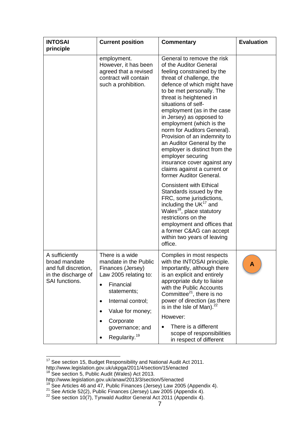| <b>INTOSAI</b><br>principle                                                                      | <b>Current position</b>                                                                                                                                                                                                                                                                   | <b>Commentary</b>                                                                                                                                                                                                                                                                                                                                                                                                                                                                                                                                             | <b>Evaluation</b> |
|--------------------------------------------------------------------------------------------------|-------------------------------------------------------------------------------------------------------------------------------------------------------------------------------------------------------------------------------------------------------------------------------------------|---------------------------------------------------------------------------------------------------------------------------------------------------------------------------------------------------------------------------------------------------------------------------------------------------------------------------------------------------------------------------------------------------------------------------------------------------------------------------------------------------------------------------------------------------------------|-------------------|
|                                                                                                  | employment.<br>However, it has been<br>agreed that a revised<br>contract will contain<br>such a prohibition.                                                                                                                                                                              | General to remove the risk<br>of the Auditor General<br>feeling constrained by the<br>threat of challenge, the<br>defence of which might have<br>to be met personally. The<br>threat is heightened in<br>situations of self-<br>employment (as in the case<br>in Jersey) as opposed to<br>employment (which is the<br>norm for Auditors General).<br>Provision of an indemnity to<br>an Auditor General by the<br>employer is distinct from the<br>employer securing<br>insurance cover against any<br>claims against a current or<br>former Auditor General. |                   |
|                                                                                                  |                                                                                                                                                                                                                                                                                           | <b>Consistent with Ethical</b><br>Standards issued by the<br>FRC, some jurisdictions,<br>including the UK <sup>17</sup> and<br>Wales <sup>18</sup> , place statutory<br>restrictions on the<br>employment and offices that<br>a former C&AG can accept<br>within two years of leaving<br>office.                                                                                                                                                                                                                                                              |                   |
| A sufficiently<br>broad mandate<br>and full discretion,<br>in the discharge of<br>SAI functions. | There is a wide<br>mandate in the Public<br>Finances (Jersey)<br>Law 2005 relating to:<br>Financial<br>$\bullet$<br>statements;<br>Internal control;<br>$\bullet$<br>Value for money;<br>$\bullet$<br>Corporate<br>$\bullet$<br>governance; and<br>Regularity. <sup>19</sup><br>$\bullet$ | Complies in most respects<br>with the INTOSAI principle.<br>Importantly, although there<br>is an explicit and entirely<br>appropriate duty to liaise<br>with the Public Accounts<br>Committee $^{21}$ , there is no<br>power of direction (as there<br>is in the Isle of Man). $^{22}$<br>However:<br>There is a different<br>scope of responsibilities<br>in respect of different                                                                                                                                                                            | Α                 |

 $\overline{a}$  $17$  See section 15, Budget Responsibility and National Audit Act 2011. <http://www.legislation.gov.uk/ukpga/2011/4/section/15/enacted>

<sup>&</sup>lt;sup>18</sup> See section 5, Public Audit (Wales) Act 2013.

http://www.legislation.gov.uk/anaw/2013/3/section/5/enacted

 $19$  See Articles 46 and 47, Public Finances (Jersey) Law 2005 (Appendix 4).

<sup>&</sup>lt;sup>21</sup> See Article 52(2), Public Finances (Jersey) Law 2005 (Appendix 4).

 $^{22}$  See section 10(7), Tynwald Auditor General Act 2011 (Appendix 4).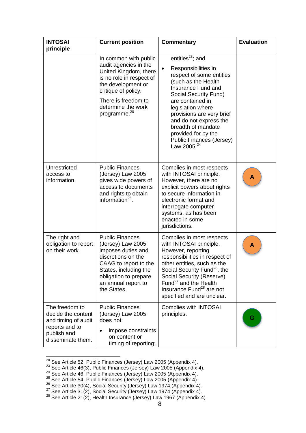| <b>INTOSAI</b><br>principle                                                                                       | <b>Current position</b>                                                                                                                                                                                                   | <b>Commentary</b>                                                                                                                                                                                                                                                                                                                                                      | <b>Evaluation</b> |
|-------------------------------------------------------------------------------------------------------------------|---------------------------------------------------------------------------------------------------------------------------------------------------------------------------------------------------------------------------|------------------------------------------------------------------------------------------------------------------------------------------------------------------------------------------------------------------------------------------------------------------------------------------------------------------------------------------------------------------------|-------------------|
|                                                                                                                   | In common with public<br>audit agencies in the<br>United Kingdom, there<br>is no role in respect of<br>the development or<br>critique of policy.<br>There is freedom to<br>determine the work<br>programme. <sup>20</sup> | entities <sup>23</sup> ; and<br>Responsibilities in<br>$\bullet$<br>respect of some entities<br>(such as the Health<br>Insurance Fund and<br>Social Security Fund)<br>are contained in<br>legislation where<br>provisions are very brief<br>and do not express the<br>breadth of mandate<br>provided for by the<br>Public Finances (Jersey)<br>Law 2005. <sup>24</sup> |                   |
| Unrestricted<br>access to<br>information.                                                                         | <b>Public Finances</b><br>(Jersey) Law 2005<br>gives wide powers of<br>access to documents<br>and rights to obtain<br>information $^{25}$ .                                                                               | Complies in most respects<br>with INTOSAI principle.<br>However, there are no<br>explicit powers about rights<br>to secure information in<br>electronic format and<br>interrogate computer<br>systems, as has been<br>enacted in some<br>jurisdictions.                                                                                                                | A                 |
| The right and<br>obligation to report<br>on their work.                                                           | <b>Public Finances</b><br>(Jersey) Law 2005<br>imposes duties and<br>discretions on the<br>C&AG to report to the<br>States, including the<br>obligation to prepare<br>an annual report to<br>the States.                  | Complies in most respects<br>with INTOSAI principle.<br>However, reporting<br>responsibilities in respect of<br>other entities, such as the<br>Social Security Fund <sup>26</sup> , the<br>Social Security (Reserve)<br>Fund <sup>27</sup> and the Health<br>Insurance Fund <sup>28</sup> are not<br>specified and are unclear.                                        | A                 |
| The freedom to<br>decide the content<br>and timing of audit<br>reports and to<br>publish and<br>disseminate them. | <b>Public Finances</b><br>(Jersey) Law 2005<br>does not:<br>impose constraints<br>$\bullet$<br>on content or<br>timing of reporting;                                                                                      | <b>Complies with INTOSAI</b><br>principles.                                                                                                                                                                                                                                                                                                                            |                   |

 $^{20}$  See Article 52, Public Finances (Jersey) Law 2005 (Appendix 4).

 $\overline{a}$ 

 $^{23}$  See Article 46(3), Public Finances (Jersey) Law 2005 (Appendix 4).

 $24$  See Article 46, Public Finances (Jersey) Law 2005 (Appendix 4).

<sup>&</sup>lt;sup>25</sup> See Article 54, Public Finances (Jersey) Law 2005 (Appendix 4).

 $26$  See Article 30(4), Social Security (Jersey) Law 1974 (Appendix 4).

<sup>&</sup>lt;sup>27</sup> See Article 31(2), Social Security (Jersey) Law 1974 (Appendix 4).

 $28$  See Article 21(2), Health Insurance (Jersey) Law 1967 (Appendix 4).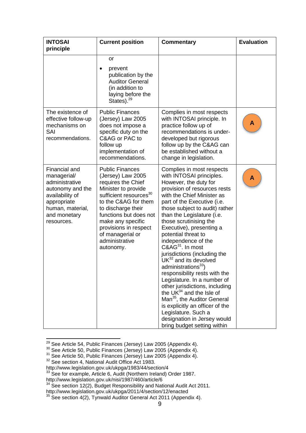| <b>INTOSAI</b><br>principle                                                                                                                            | <b>Current position</b>                                                                                                                                                                                                                                                                                 | <b>Commentary</b>                                                                                                                                                                                                                                                                                                                                                                                                                                                                                                                                                                                                                                                                                                                                                                      | <b>Evaluation</b> |
|--------------------------------------------------------------------------------------------------------------------------------------------------------|---------------------------------------------------------------------------------------------------------------------------------------------------------------------------------------------------------------------------------------------------------------------------------------------------------|----------------------------------------------------------------------------------------------------------------------------------------------------------------------------------------------------------------------------------------------------------------------------------------------------------------------------------------------------------------------------------------------------------------------------------------------------------------------------------------------------------------------------------------------------------------------------------------------------------------------------------------------------------------------------------------------------------------------------------------------------------------------------------------|-------------------|
|                                                                                                                                                        | or<br>prevent<br>$\bullet$<br>publication by the<br><b>Auditor General</b><br>(in addition to<br>laying before the<br>States). <sup>29</sup>                                                                                                                                                            |                                                                                                                                                                                                                                                                                                                                                                                                                                                                                                                                                                                                                                                                                                                                                                                        |                   |
| The existence of<br>effective follow-up<br>mechanisms on<br>SAI<br>recommendations.                                                                    | <b>Public Finances</b><br>(Jersey) Law 2005<br>does not impose a<br>specific duty on the<br>C&AG or PAC to<br>follow up<br>implementation of<br>recommendations.                                                                                                                                        | Complies in most respects<br>with INTOSAI principle. In<br>practice follow up of<br>recommendations is under-<br>developed but rigorous<br>follow up by the C&AG can<br>be established without a<br>change in legislation.                                                                                                                                                                                                                                                                                                                                                                                                                                                                                                                                                             | Α                 |
| Financial and<br>managerial/<br>administrative<br>autonomy and the<br>availability of<br>appropriate<br>human, material,<br>and monetary<br>resources. | <b>Public Finances</b><br>(Jersey) Law 2005<br>requires the Chief<br>Minister to provide<br>sufficient resources <sup>30</sup><br>to the C&AG for them<br>to discharge their<br>functions but does not<br>make any specific<br>provisions in respect<br>of managerial or<br>administrative<br>autonomy. | Complies in most respects<br>with INTOSAI principles.<br>However, the duty for<br>provision of resources rests<br>with the Chief Minister as<br>part of the Executive (i.e.<br>those subject to audit) rather<br>than the Legislature (i.e.<br>those scrutinising the<br>Executive), presenting a<br>potential threat to<br>independence of the<br>C&AG <sup>31</sup> . In most<br>jurisdictions (including the<br>$UK^{32}$ and its devolved<br>administrations <sup>33</sup> )<br>responsibility rests with the<br>Legislature. In a number of<br>other jurisdictions, including<br>the $UK^{34}$ and the Isle of<br>Man <sup>35</sup> , the Auditor General<br>is explicitly an officer of the<br>Legislature. Such a<br>designation in Jersey would<br>bring budget setting within | A                 |

 $\overline{\phantom{a}}$  $^{29}$  See Article 54, Public Finances (Jersey) Law 2005 (Appendix 4).

 $30$  See Article 50, Public Finances (Jersey) Law 2005 (Appendix 4).

 $31$  See Article 50, Public Finances (Jersey) Law 2005 (Appendix 4).

<sup>&</sup>lt;sup>32</sup> See section 4, National Audit Office Act 1983.

<http://www.legislation.gov.uk/ukpga/1983/44/section/4>

<sup>&</sup>lt;sup>33</sup> See for example, Article 6, Audit (Northern Ireland) Order 1987.

http://www.legislation.gov.uk/nisi/1987/460/article/6

 $34$  See section 12(2), Budget Responsibility and National Audit Act 2011.

http://www.legislation.gov.uk/ukpga/2011/4/section/12/enacted

 $35$  See section 4(2), Tynwald Auditor General Act 2011 (Appendix 4).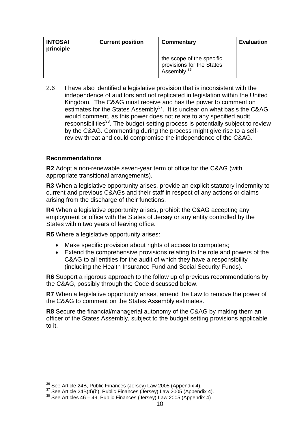| <b>INTOSAI</b><br>principle | <b>Current position</b> | Commentary                                                                        | <b>Evaluation</b> |
|-----------------------------|-------------------------|-----------------------------------------------------------------------------------|-------------------|
|                             |                         | the scope of the specific<br>provisions for the States<br>Assembly. <sup>36</sup> |                   |

2.6 I have also identified a legislative provision that is inconsistent with the independence of auditors and not replicated in legislation within the United Kingdom. The C&AG must receive and has the power to comment on estimates for the States Assembly<sup>37</sup>. It is unclear on what basis the C&AG would comment, as this power does not relate to any specified audit responsibilities<sup>38</sup>. The budget setting process is potentially subject to review by the C&AG. Commenting during the process might give rise to a selfreview threat and could compromise the independence of the C&AG.

#### **Recommendations**

**R2** Adopt a non-renewable seven-year term of office for the C&AG (with appropriate transitional arrangements).

**R3** When a legislative opportunity arises, provide an explicit statutory indemnity to current and previous C&AGs and their staff in respect of any actions or claims arising from the discharge of their functions.

**R4** When a legislative opportunity arises, prohibit the C&AG accepting any employment or office with the States of Jersey or any entity controlled by the States within two years of leaving office.

**R5** Where a legislative opportunity arises:

- Make specific provision about rights of access to computers;
- Extend the comprehensive provisions relating to the role and powers of the C&AG to all entities for the audit of which they have a responsibility (including the Health Insurance Fund and Social Security Funds).

**R6** Support a rigorous approach to the follow up of previous recommendations by the C&AG, possibly through the Code discussed below.

**R7** When a legislative opportunity arises, amend the Law to remove the power of the C&AG to comment on the States Assembly estimates.

**R8** Secure the financial/managerial autonomy of the C&AG by making them an officer of the States Assembly, subject to the budget setting provisions applicable to it.

 $\overline{a}$  $36$  See Article 24B, Public Finances (Jersey) Law 2005 (Appendix 4).

<sup>&</sup>lt;sup>37</sup> See Article 24B(4)(b), Public Finances (Jersey) Law 2005 (Appendix 4).

 $38$  See Articles 46 – 49, Public Finances (Jersey) Law 2005 (Appendix 4).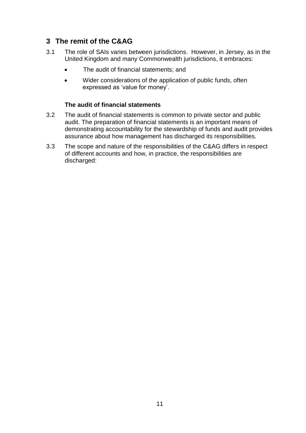# **3 The remit of the C&AG**

- 3.1 The role of SAIs varies between jurisdictions. However, in Jersey, as in the United Kingdom and many Commonwealth jurisdictions, it embraces:
	- The audit of financial statements; and
	- Wider considerations of the application of public funds, often expressed as 'value for money'.

### **The audit of financial statements**

- 3.2 The audit of financial statements is common to private sector and public audit. The preparation of financial statements is an important means of demonstrating accountability for the stewardship of funds and audit provides assurance about how management has discharged its responsibilities.
- 3.3 The scope and nature of the responsibilities of the C&AG differs in respect of different accounts and how, in practice, the responsibilities are discharged: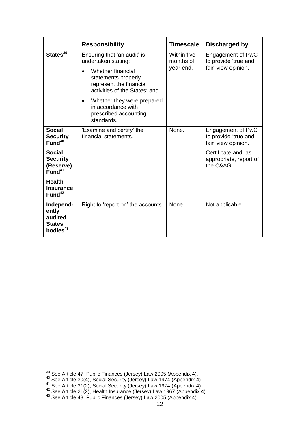|                                                                        | <b>Responsibility</b>                                                                                                                                      | <b>Timescale</b>                      | Discharged by                                                           |
|------------------------------------------------------------------------|------------------------------------------------------------------------------------------------------------------------------------------------------------|---------------------------------------|-------------------------------------------------------------------------|
| States <sup>39</sup>                                                   | Ensuring that 'an audit' is<br>undertaken stating:<br>Whether financial<br>statements properly<br>represent the financial<br>activities of the States; and | Within five<br>months of<br>year end. | <b>Engagement of PwC</b><br>to provide 'true and<br>fair' view opinion. |
|                                                                        | Whether they were prepared<br>in accordance with<br>prescribed accounting<br>standards.                                                                    |                                       |                                                                         |
| <b>Social</b><br><b>Security</b><br>Fund <sup>40</sup>                 | 'Examine and certify' the<br>financial statements.                                                                                                         | None.                                 | <b>Engagement of PwC</b><br>to provide 'true and<br>fair' view opinion. |
| <b>Social</b><br><b>Security</b><br>(Reserve)<br>Fund <sup>41</sup>    |                                                                                                                                                            |                                       | Certificate and, as<br>appropriate, report of<br>the C&AG.              |
| <b>Health</b><br><b>Insurance</b><br>Fund <sup>42</sup>                |                                                                                                                                                            |                                       |                                                                         |
| Independ-<br>ently<br>audited<br><b>States</b><br>bodies <sup>43</sup> | Right to 'report on' the accounts.                                                                                                                         | None.                                 | Not applicable.                                                         |

 $\overline{\phantom{a}}$ 

 $39$  See Article 47, Public Finances (Jersey) Law 2005 (Appendix 4).

 $40$  See Article 30(4), Social Security (Jersey) Law 1974 (Appendix 4).

 $41$  See Article 31(2), Social Security (Jersey) Law 1974 (Appendix 4).

 $42$  See Article 21(2), Health Insurance (Jersey) Law 1967 (Appendix 4).

 $43$  See Article 48, Public Finances (Jersey) Law 2005 (Appendix 4).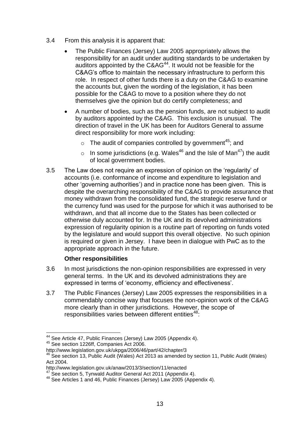- 3.4 From this analysis it is apparent that:
	- The Public Finances (Jersey) Law 2005 appropriately allows the responsibility for an audit under auditing standards to be undertaken by auditors appointed by the  $C\&AG^{44}$ . It would not be feasible for the C&AG's office to maintain the necessary infrastructure to perform this role. In respect of other funds there is a duty on the C&AG to examine the accounts but, given the wording of the legislation, it has been possible for the C&AG to move to a position where they do not themselves give the opinion but do certify completeness; and
	- A number of bodies, such as the pension funds, are not subject to audit by auditors appointed by the C&AG. This exclusion is unusual. The direction of travel in the UK has been for Auditors General to assume direct responsibility for more work including:
		- $\circ$  The audit of companies controlled by government<sup>45</sup>; and
		- $\circ$  In some jurisdictions (e.g. Wales<sup>46</sup> and the Isle of Man<sup>47</sup>) the audit of local government bodies.
- 3.5 The Law does not require an expression of opinion on the 'regularity' of accounts (i.e. conformance of income and expenditure to legislation and other 'governing authorities') and in practice none has been given. This is despite the overarching responsibility of the C&AG to provide assurance that money withdrawn from the consolidated fund, the strategic reserve fund or the currency fund was used for the purpose for which it was authorised to be withdrawn, and that all income due to the States has been collected or otherwise duly accounted for. In the UK and its devolved administrations expression of regularity opinion is a routine part of reporting on funds voted by the legislature and would support this overall objective. No such opinion is required or given in Jersey. I have been in dialogue with PwC as to the appropriate approach in the future.

### **Other responsibilities**

- 3.6 In most jurisdictions the non-opinion responsibilities are expressed in very general terms. In the UK and its devolved administrations they are expressed in terms of 'economy, efficiency and effectiveness'.
- 3.7 The Public Finances (Jersey) Law 2005 expresses the responsibilities in a commendably concise way that focuses the non-opinion work of the C&AG more clearly than in other jurisdictions. However, the scope of responsibilities varies between different entities<sup>48</sup>:

 $\overline{\phantom{a}}$  $44$  See Article 47, Public Finances (Jersey) Law 2005 (Appendix 4).

<sup>45</sup> See section 1226ff, Companies Act 2006.

http://www.legislation.gov.uk/ukpga/2006/46/part/42/chapter/3

 $46$  See section 13, Public Audit (Wales) Act 2013 as amended by section 11, Public Audit (Wales) Act 2004.

http://www.legislation.gov.uk/anaw/2013/3/section/11/enacted

 $47$  See section 5, Tynwald Auditor General Act 2011 (Appendix 4).

<sup>48</sup> See Articles 1 and 46, Public Finances (Jersey) Law 2005 (Appendix 4).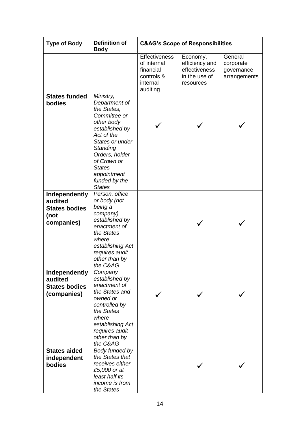| <b>Type of Body</b>                                                    | <b>Definition of</b><br><b>Body</b>                                                                                                                                                                                                       | <b>C&amp;AG's Scope of Responsibilities</b>                                            |                                                                           |                                                    |
|------------------------------------------------------------------------|-------------------------------------------------------------------------------------------------------------------------------------------------------------------------------------------------------------------------------------------|----------------------------------------------------------------------------------------|---------------------------------------------------------------------------|----------------------------------------------------|
|                                                                        |                                                                                                                                                                                                                                           | <b>Effectiveness</b><br>of internal<br>financial<br>controls &<br>internal<br>auditing | Economy,<br>efficiency and<br>effectiveness<br>in the use of<br>resources | General<br>corporate<br>governance<br>arrangements |
| <b>States funded</b><br>bodies                                         | Ministry,<br>Department of<br>the States,<br>Committee or<br>other body<br>established by<br>Act of the<br>States or under<br>Standing<br>Orders, holder<br>of Crown or<br><b>States</b><br>appointment<br>funded by the<br><b>States</b> |                                                                                        |                                                                           |                                                    |
| Independently<br>audited<br><b>States bodies</b><br>(not<br>companies) | Person, office<br>or body (not<br>being a<br>company)<br>established by<br>enactment of<br>the States<br>where<br>establishing Act<br>requires audit<br>other than by<br>the C&AG                                                         |                                                                                        |                                                                           |                                                    |
| Independently<br>audited<br><b>States bodies</b><br>(companies)        | Company<br>established by<br>enactment of<br>the States and<br>owned or<br>controlled by<br>the States<br>where<br>establishing Act<br>requires audit<br>other than by<br>the C&AG                                                        |                                                                                        |                                                                           |                                                    |
| <b>States aided</b><br>independent<br>bodies                           | Body funded by<br>the States that<br>receives either<br>£5,000 or at<br>least half its<br>income is from<br>the States                                                                                                                    |                                                                                        |                                                                           |                                                    |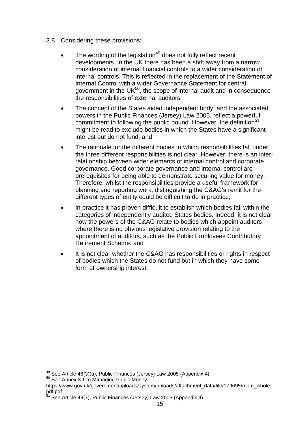- 3.8 Considering these provisions:
	- The wording of the legislation $49$  does not fully reflect recent developments. In the UK there has been a shift away from a narrow consideration of internal financial controls to a wider consideration of internal controls. This is reflected in the replacement of the Statement of Internal Control with a wider Governance Statement for central government in the UK $^{50}$ , the scope of internal audit and in consequence the responsibilities of external auditors;
	- The concept of the States aided independent body, and the associated powers in the Public Finances (Jersey) Law 2005, reflect a powerful commitment to following the public pound. However, the definition<sup>51</sup> might be read to exclude bodies in which the States have a significant interest but do not fund; and
	- The rationale for the different bodies to which responsibilities fall under the three different responsibilities is not clear. However, there is an interrelationship between wider elements of internal control and corporate governance. Good corporate governance and internal control are prerequisites for being able to demonstrate securing value for money. Therefore, whilst the responsibilities provide a useful framework for planning and reporting work, distinguishing the C&AG's remit for the different types of entity could be difficult to do in practice;
	- In practice it has proven difficult to establish which bodies fall within the categories of independently audited States bodies. Indeed, it is not clear how the powers of the C&AG relate to bodies which appoint auditors where there is no obvious legislative provision relating to the appointment of auditors, such as the Public Employees Contributory Retirement Scheme; and
	- It is not clear whether the C&AG has responsibilities or rights in respect of bodies which the States do not fund but in which they have some form of ownership interest.

 $\overline{\phantom{a}}$ <sup>49</sup> See Article 46(3)(a), Public Finances (Jersey) Law 2005 (Appendix 4).

<sup>50</sup> See Annex 3.1 to Managing Public Money.

https://www.gov.uk/government/uploads/system/uploads/attachment\_data/file/179695/mpm\_whole. pdf.pdf

<sup>&</sup>lt;sup>51</sup> See Article 49(7), Public Finances (Jersey) Law 2005 (Appendix 4).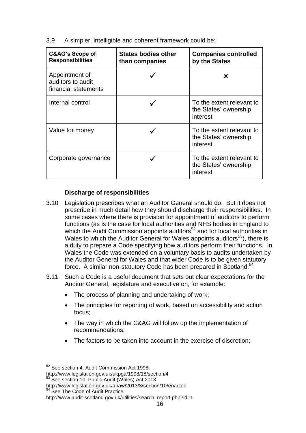| 3.9 |  | A simpler, intelligible and coherent framework could be: |  |  |  |
|-----|--|----------------------------------------------------------|--|--|--|
|-----|--|----------------------------------------------------------|--|--|--|

| C&AG's Scope of<br><b>Responsibilities</b>                  | <b>States bodies other</b><br>than companies | <b>Companies controlled</b><br>by the States                   |
|-------------------------------------------------------------|----------------------------------------------|----------------------------------------------------------------|
| Appointment of<br>auditors to audit<br>financial statements |                                              | x                                                              |
| Internal control                                            |                                              | To the extent relevant to<br>the States' ownership<br>interest |
| Value for money                                             |                                              | To the extent relevant to<br>the States' ownership<br>interest |
| Corporate governance                                        |                                              | To the extent relevant to<br>the States' ownership<br>interest |

### **Discharge of responsibilities**

- 3.10 Legislation prescribes what an Auditor General should do. But it does not prescribe in much detail how they should discharge their responsibilities. In some cases where there is provision for appointment of auditors to perform functions (as is the case for local authorities and NHS bodies in England to which the Audit Commission appoints auditors<sup>52</sup> and for local authorities in Wales to which the Auditor General for Wales appoints auditors<sup>53</sup>), there is a duty to prepare a Code specifying how auditors perform their functions. In Wales the Code was extended on a voluntary basis to audits undertaken by the Auditor General for Wales and that wider Code is to be given statutory force. A similar non-statutory Code has been prepared in Scotland.<sup>54</sup>
- 3.11 Such a Code is a useful document that sets out clear expectations for the Auditor General, legislature and executive on, for example:
	- The process of planning and undertaking of work;
	- The principles for reporting of work, based on accessibility and action focus;
	- The way in which the C&AG will follow up the implementation of recommendations;
	- The factors to be taken into account in the exercise of discretion;

 $\overline{a}$ <sup>52</sup> See section 4, Audit Commission Act 1998.

<http://www.legislation.gov.uk/ukpga/1998/18/section/4>

<sup>&</sup>lt;sup>53</sup> See section 10, Public Audit (Wales) Act 2013.

http://www.legislation.gov.uk/anaw/2013/3/section/10/enacted

<sup>54</sup> See The Code of Audit Practice.

http://www.audit-scotland.gov.uk/utilities/search\_report.php?id=1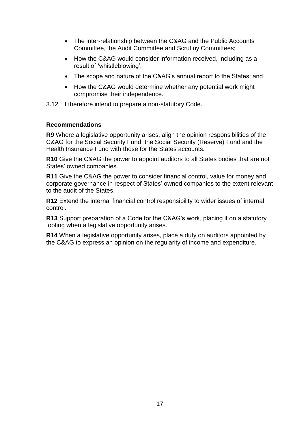- The inter-relationship between the C&AG and the Public Accounts Committee, the Audit Committee and Scrutiny Committees;
- How the C&AG would consider information received, including as a result of 'whistleblowing';
- The scope and nature of the C&AG's annual report to the States; and
- How the C&AG would determine whether any potential work might compromise their independence.
- 3.12 I therefore intend to prepare a non-statutory Code.

#### **Recommendations**

**R9** Where a legislative opportunity arises, align the opinion responsibilities of the C&AG for the Social Security Fund, the Social Security (Reserve) Fund and the Health Insurance Fund with those for the States accounts.

**R10** Give the C&AG the power to appoint auditors to all States bodies that are not States' owned companies.

**R11** Give the C&AG the power to consider financial control, value for money and corporate governance in respect of States' owned companies to the extent relevant to the audit of the States.

**R12** Extend the internal financial control responsibility to wider issues of internal control.

**R13** Support preparation of a Code for the C&AG's work, placing it on a statutory footing when a legislative opportunity arises.

**R14** When a legislative opportunity arises, place a duty on auditors appointed by the C&AG to express an opinion on the regularity of income and expenditure.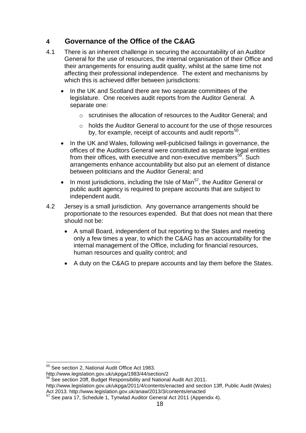# **4 Governance of the Office of the C&AG**

- 4.1 There is an inherent challenge in securing the accountability of an Auditor General for the use of resources, the internal organisation of their Office and their arrangements for ensuring audit quality, whilst at the same time not affecting their professional independence. The extent and mechanisms by which this is achieved differ between jurisdictions:
	- In the UK and Scotland there are two separate committees of the legislature. One receives audit reports from the Auditor General. A separate one:
		- o scrutinises the allocation of resources to the Auditor General; and
		- $\circ$  holds the Auditor General to account for the use of those resources by, for example, receipt of accounts and audit reports<sup>55</sup>.
	- In the UK and Wales, following well-publicised failings in governance, the offices of the Auditors General were constituted as separate legal entities from their offices, with executive and non-executive members<sup>56</sup>. Such arrangements enhance accountability but also put an element of distance between politicians and the Auditor General; and
	- In most jurisdictions, including the Isle of Man $<sup>57</sup>$ , the Auditor General or</sup> public audit agency is required to prepare accounts that are subject to independent audit.
- 4.2 Jersey is a small jurisdiction. Any governance arrangements should be proportionate to the resources expended. But that does not mean that there should not be:
	- A small Board, independent of but reporting to the States and meeting only a few times a year, to which the C&AG has an accountability for the internal management of the Office, including for financial resources, human resources and quality control; and
	- A duty on the C&AG to prepare accounts and lay them before the States.

 $\overline{a}$ 

<sup>&</sup>lt;sup>55</sup> See section 2, National Audit Office Act 1983.

http://www.legislation.gov.uk/ukpga/1983/44/section/2

<sup>&</sup>lt;sup>56</sup> See section 20ff, Budget Responsibility and National Audit Act 2011.

<http://www.legislation.gov.uk/ukpga/2011/4/contents/enacted> and section 13ff, Public Audit (Wales) Act 2013. http://www.legislation.gov.uk/anaw/2013/3/contents/enacted

<sup>57</sup> See para 17, Schedule 1, Tynwlad Auditor General Act 2011 (Appendix 4).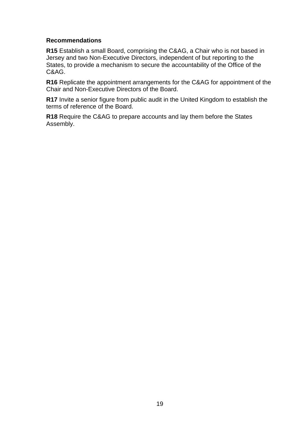#### **Recommendations**

**R15** Establish a small Board, comprising the C&AG, a Chair who is not based in Jersey and two Non-Executive Directors, independent of but reporting to the States, to provide a mechanism to secure the accountability of the Office of the C&AG.

**R16** Replicate the appointment arrangements for the C&AG for appointment of the Chair and Non-Executive Directors of the Board.

**R17** Invite a senior figure from public audit in the United Kingdom to establish the terms of reference of the Board.

**R18** Require the C&AG to prepare accounts and lay them before the States Assembly.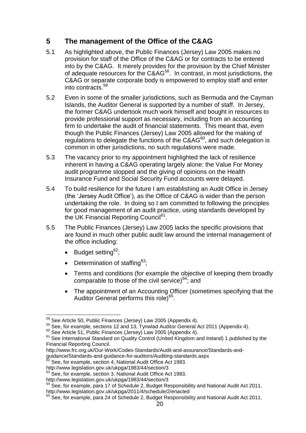# **5 The management of the Office of the C&AG**

- 5.1 As highlighted above, the Public Finances (Jersey) Law 2005 makes no provision for staff of the Office of the C&AG or for contracts to be entered into by the C&AG. It merely provides for the provision by the Chief Minister of adequate resources for the C&AG<sup>58</sup>. In contrast, in most jurisdictions, the C&AG or separate corporate body is empowered to employ staff and enter into contracts.<sup>59</sup>
- 5.2 Even in some of the smaller jurisdictions, such as Bermuda and the Cayman Islands, the Auditor General is supported by a number of staff. In Jersey, the former C&AG undertook much work himself and bought in resources to provide professional support as necessary, including from an accounting firm to undertake the audit of financial statements. This meant that, even though the Public Finances (Jersey) Law 2005 allowed for the making of regulations to delegate the functions of the  $C&AG^{60}$ , and such delegation is common in other jurisdictions, no such regulations were made.
- 5.3 The vacancy prior to my appointment highlighted the lack of resilience inherent in having a C&AG operating largely alone: the Value For Money audit programme stopped and the giving of opinions on the Health Insurance Fund and Social Security Fund accounts were delayed.
- 5.4 To build resilience for the future I am establishing an Audit Office in Jersey (the 'Jersey Audit Office'), as the Office of C&AG is wider than the person undertaking the role. In doing so I am committed to following the principles for good management of an audit practice, using standards developed by the UK Financial Reporting Council<sup>61</sup>.
- 5.5 The Public Finances (Jersey) Law 2005 lacks the specific provisions that are found in much other public audit law around the internal management of the office including:
	- Budget setting<sup>62</sup>:
	- Determination of staffing $63$ :
	- Terms and conditions (for example the objective of keeping them broadly comparable to those of the civil service) $64$ ; and
	- The appointment of an Accounting Officer (sometimes specifying that the Auditor General performs this role)<sup>65</sup>.

 $\overline{a}$  $58$  See Article 50, Public Finances (Jersey) Law 2005 (Appendix 4).

<sup>59</sup> See, for example, sections 12 and 13, Tynwlad Auditor General Act 2011 (Appendix 4).

<sup>60</sup> See Article 51, Public Finances (Jersey) Law 2005 (Appendix 4).

<sup>&</sup>lt;sup>61</sup> See International Standard on Quality Control (United Kingdom and Ireland) 1 published by the Financial Reporting Council.

http://www.frc.org.uk/Our-Work/Codes-Standards/Audit-and-assurance/Standards-and-

guidance/Standards-and-guidance-for-auditors/Auditing-standards.aspx

See, for example, section 4, National Audit Office Act 1983.

http://www.legislation.gov.uk/ukpga/1983/44/section/3

<sup>&</sup>lt;sup>63</sup> See, for example, section 3, National Audit Office Act 1983.

http://www.legislation.gov.uk/ukpga/1983/44/section/3

 $64$  See, for example, para 17 of Schedule 2, Budget Responsibility and National Audit Act 2011. http://www.legislation.gov.uk/ukpga/2011/4/schedule/2/enacted

 $65$  See, for example, para 24 of Schedule 2, Budget Responsibility and National Audit Act 2011.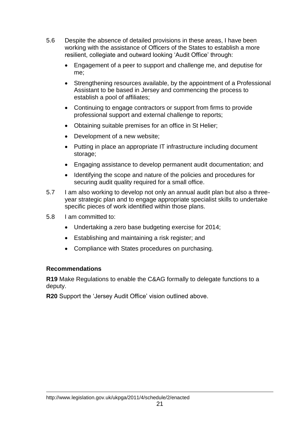- 5.6 Despite the absence of detailed provisions in these areas, I have been working with the assistance of Officers of the States to establish a more resilient, collegiate and outward looking 'Audit Office' through:
	- Engagement of a peer to support and challenge me, and deputise for me;
	- Strengthening resources available, by the appointment of a Professional Assistant to be based in Jersey and commencing the process to establish a pool of affiliates;
	- Continuing to engage contractors or support from firms to provide professional support and external challenge to reports;
	- Obtaining suitable premises for an office in St Helier;
	- Development of a new website;
	- Putting in place an appropriate IT infrastructure including document storage;
	- Engaging assistance to develop permanent audit documentation; and
	- Identifying the scope and nature of the policies and procedures for securing audit quality required for a small office.
- 5.7 I am also working to develop not only an annual audit plan but also a threeyear strategic plan and to engage appropriate specialist skills to undertake specific pieces of work identified within those plans.
- 5.8 I am committed to:
	- Undertaking a zero base budgeting exercise for 2014;
	- Establishing and maintaining a risk register; and
	- Compliance with States procedures on purchasing.

### **Recommendations**

**R19** Make Regulations to enable the C&AG formally to delegate functions to a deputy.

**R20** Support the 'Jersey Audit Office' vision outlined above.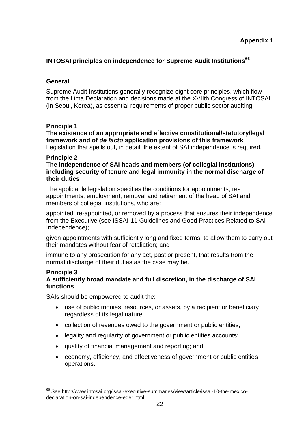### **INTOSAI principles on independence for Supreme Audit Institutions<sup>66</sup>**

### **General**

Supreme Audit Institutions generally recognize eight core principles, which flow from the Lima Declaration and decisions made at the XVIIth Congress of INTOSAI (in Seoul, Korea), as essential requirements of proper public sector auditing.

### **Principle 1**

**The existence of an appropriate and effective constitutional/statutory/legal framework and of** *de facto* **application provisions of this framework**  Legislation that spells out, in detail, the extent of SAI independence is required.

#### **Principle 2**

**The independence of SAI heads and members (of collegial institutions), including security of tenure and legal immunity in the normal discharge of their duties**

The applicable legislation specifies the conditions for appointments, reappointments, employment, removal and retirement of the head of SAI and members of collegial institutions, who are:

appointed, re-appointed, or removed by a process that ensures their independence from the Executive (see ISSAI-11 Guidelines and Good Practices Related to SAI Independence);

given appointments with sufficiently long and fixed terms, to allow them to carry out their mandates without fear of retaliation; and

immune to any prosecution for any act, past or present, that results from the normal discharge of their duties as the case may be.

### **Principle 3**

 $\overline{\phantom{a}}$ 

#### **A sufficiently broad mandate and full discretion, in the discharge of SAI functions**

SAIs should be empowered to audit the:

- use of public monies, resources, or assets, by a recipient or beneficiary regardless of its legal nature;
- collection of revenues owed to the government or public entities;
- legality and regularity of government or public entities accounts;
- quality of financial management and reporting; and
- economy, efficiency, and effectiveness of government or public entities operations.

<sup>66</sup> See http://www.intosai.org/issai-executive-summaries/view/article/issai-10-the-mexicodeclaration-on-sai-independence-eger.html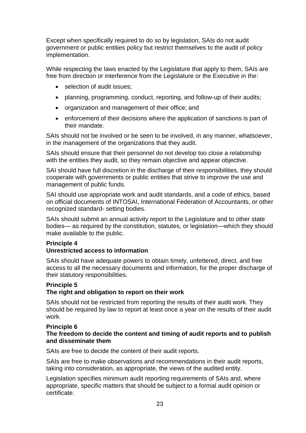Except when specifically required to do so by legislation, SAIs do not audit government or public entities policy but restrict themselves to the audit of policy implementation.

While respecting the laws enacted by the Legislature that apply to them, SAIs are free from direction or interference from the Legislature or the Executive in the:

- selection of audit issues:
- planning, programming, conduct, reporting, and follow-up of their audits;
- organization and management of their office; and
- enforcement of their decisions where the application of sanctions is part of their mandate.

SAIs should not be involved or be seen to be involved, in any manner, whatsoever, in the management of the organizations that they audit.

SAIs should ensure that their personnel do not develop too close a relationship with the entities they audit, so they remain objective and appear objective.

SAI should have full discretion in the discharge of their responsibilities, they should cooperate with governments or public entities that strive to improve the use and management of public funds.

SAI should use appropriate work and audit standards, and a code of ethics, based on official documents of INTOSAI, International Federation of Accountants, or other recognized standard- setting bodies.

SAIs should submit an annual activity report to the Legislature and to other state bodies— as required by the constitution, statutes, or legislation—which they should make available to the public.

### **Principle 4**

### **Unrestricted access to information**

SAIs should have adequate powers to obtain timely, unfettered, direct, and free access to all the necessary documents and information, for the proper discharge of their statutory responsibilities.

### **Principle 5**

### **The right and obligation to report on their work**

SAIs should not be restricted from reporting the results of their audit work. They should be required by law to report at least once a year on the results of their audit work.

#### **Principle 6**

#### **The freedom to decide the content and timing of audit reports and to publish and disseminate them**

SAIs are free to decide the content of their audit reports.

SAIs are free to make observations and recommendations in their audit reports, taking into consideration, as appropriate, the views of the audited entity.

Legislation specifies minimum audit reporting requirements of SAIs and, where appropriate, specific matters that should be subject to a formal audit opinion or certificate.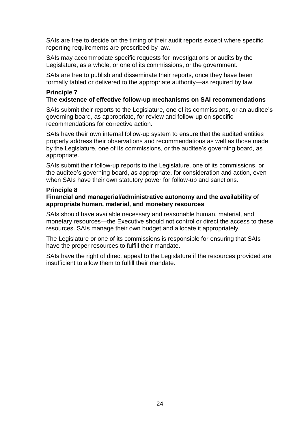SAIs are free to decide on the timing of their audit reports except where specific reporting requirements are prescribed by law.

SAIs may accommodate specific requests for investigations or audits by the Legislature, as a whole, or one of its commissions, or the government.

SAIs are free to publish and disseminate their reports, once they have been formally tabled or delivered to the appropriate authority—as required by law.

#### **Principle 7 The existence of effective follow-up mechanisms on SAI recommendations**

SAIs submit their reports to the Legislature, one of its commissions, or an auditee's governing board, as appropriate, for review and follow-up on specific recommendations for corrective action.

SAIs have their own internal follow-up system to ensure that the audited entities properly address their observations and recommendations as well as those made by the Legislature, one of its commissions, or the auditee's governing board, as appropriate.

SAIs submit their follow-up reports to the Legislature, one of its commissions, or the auditee's governing board, as appropriate, for consideration and action, even when SAIs have their own statutory power for follow-up and sanctions.

#### **Principle 8**

#### **Financial and managerial/administrative autonomy and the availability of appropriate human, material, and monetary resources**

SAIs should have available necessary and reasonable human, material, and monetary resources—the Executive should not control or direct the access to these resources. SAIs manage their own budget and allocate it appropriately.

The Legislature or one of its commissions is responsible for ensuring that SAIs have the proper resources to fulfill their mandate.

SAIs have the right of direct appeal to the Legislature if the resources provided are insufficient to allow them to fulfill their mandate.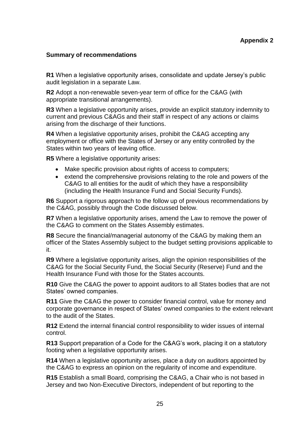#### **Summary of recommendations**

**R1** When a legislative opportunity arises, consolidate and update Jersey's public audit legislation in a separate Law.

**R2** Adopt a non-renewable seven-year term of office for the C&AG (with appropriate transitional arrangements).

**R3** When a legislative opportunity arises, provide an explicit statutory indemnity to current and previous C&AGs and their staff in respect of any actions or claims arising from the discharge of their functions.

**R4** When a legislative opportunity arises, prohibit the C&AG accepting any employment or office with the States of Jersey or any entity controlled by the States within two years of leaving office.

**R5** Where a legislative opportunity arises:

- Make specific provision about rights of access to computers;
- extend the comprehensive provisions relating to the role and powers of the C&AG to all entities for the audit of which they have a responsibility (including the Health Insurance Fund and Social Security Funds).

**R6** Support a rigorous approach to the follow up of previous recommendations by the C&AG, possibly through the Code discussed below.

**R7** When a legislative opportunity arises, amend the Law to remove the power of the C&AG to comment on the States Assembly estimates.

**R8** Secure the financial/managerial autonomy of the C&AG by making them an officer of the States Assembly subject to the budget setting provisions applicable to it.

**R9** Where a legislative opportunity arises, align the opinion responsibilities of the C&AG for the Social Security Fund, the Social Security (Reserve) Fund and the Health Insurance Fund with those for the States accounts.

**R10** Give the C&AG the power to appoint auditors to all States bodies that are not States' owned companies.

**R11** Give the C&AG the power to consider financial control, value for money and corporate governance in respect of States' owned companies to the extent relevant to the audit of the States.

**R12** Extend the internal financial control responsibility to wider issues of internal control.

**R13** Support preparation of a Code for the C&AG's work, placing it on a statutory footing when a legislative opportunity arises.

**R14** When a legislative opportunity arises, place a duty on auditors appointed by the C&AG to express an opinion on the regularity of income and expenditure.

**R15** Establish a small Board, comprising the C&AG, a Chair who is not based in Jersey and two Non-Executive Directors, independent of but reporting to the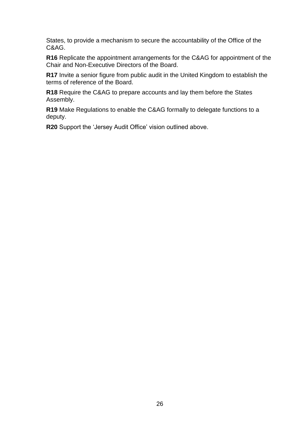States, to provide a mechanism to secure the accountability of the Office of the C&AG.

**R16** Replicate the appointment arrangements for the C&AG for appointment of the Chair and Non-Executive Directors of the Board.

**R17** Invite a senior figure from public audit in the United Kingdom to establish the terms of reference of the Board.

**R18** Require the C&AG to prepare accounts and lay them before the States Assembly.

**R19** Make Regulations to enable the C&AG formally to delegate functions to a deputy.

**R20** Support the 'Jersey Audit Office' vision outlined above.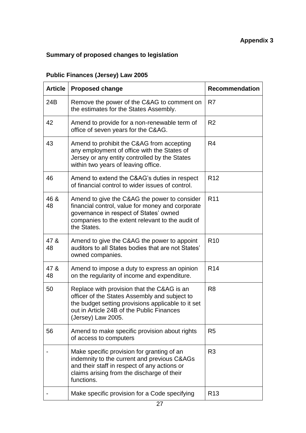# **Summary of proposed changes to legislation**

# **Public Finances (Jersey) Law 2005**

| <b>Article</b> | <b>Proposed change</b>                                                                                                                                                                                               | <b>Recommendation</b> |
|----------------|----------------------------------------------------------------------------------------------------------------------------------------------------------------------------------------------------------------------|-----------------------|
| 24B            | Remove the power of the C&AG to comment on<br>the estimates for the States Assembly.                                                                                                                                 | R <sub>7</sub>        |
| 42             | Amend to provide for a non-renewable term of<br>office of seven years for the C&AG.                                                                                                                                  | R <sub>2</sub>        |
| 43             | Amend to prohibit the C&AG from accepting<br>any employment of office with the States of<br>Jersey or any entity controlled by the States<br>within two years of leaving office.                                     | R <sub>4</sub>        |
| 46             | Amend to extend the C&AG's duties in respect<br>of financial control to wider issues of control.                                                                                                                     | R <sub>12</sub>       |
| 46 &<br>48     | Amend to give the C&AG the power to consider<br>financial control, value for money and corporate<br>governance in respect of States' owned<br>companies to the extent relevant to the audit of<br>the States.        | R <sub>11</sub>       |
| 47 &<br>48     | Amend to give the C&AG the power to appoint<br>auditors to all States bodies that are not States'<br>owned companies.                                                                                                | R <sub>10</sub>       |
| 47 &<br>48     | Amend to impose a duty to express an opinion<br>on the regularity of income and expenditure.                                                                                                                         | R <sub>14</sub>       |
| 50             | Replace with provision that the C&AG is an<br>officer of the States Assembly and subject to<br>the budget setting provisions applicable to it set<br>out in Article 24B of the Public Finances<br>(Jersey) Law 2005. | R <sub>8</sub>        |
| 56             | Amend to make specific provision about rights<br>of access to computers                                                                                                                                              | R <sub>5</sub>        |
|                | Make specific provision for granting of an<br>indemnity to the current and previous C&AGs<br>and their staff in respect of any actions or<br>claims arising from the discharge of their<br>functions.                | R <sub>3</sub>        |
|                | Make specific provision for a Code specifying                                                                                                                                                                        | R <sub>13</sub>       |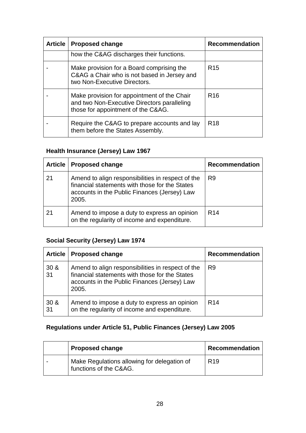| <b>Article</b> | <b>Proposed change</b>                                                                                                           | <b>Recommendation</b> |
|----------------|----------------------------------------------------------------------------------------------------------------------------------|-----------------------|
|                | how the C&AG discharges their functions.                                                                                         |                       |
|                | Make provision for a Board comprising the<br>C&AG a Chair who is not based in Jersey and<br>two Non-Executive Directors.         | R <sub>15</sub>       |
|                | Make provision for appointment of the Chair<br>and two Non-Executive Directors paralleling<br>those for appointment of the C&AG. | R <sub>16</sub>       |
|                | Require the C&AG to prepare accounts and lay<br>them before the States Assembly.                                                 | R <sub>18</sub>       |

# **Health Insurance (Jersey) Law 1967**

|    | Article   Proposed change                                                                                                                                    | <b>Recommendation</b> |
|----|--------------------------------------------------------------------------------------------------------------------------------------------------------------|-----------------------|
| 21 | Amend to align responsibilities in respect of the<br>financial statements with those for the States<br>accounts in the Public Finances (Jersey) Law<br>2005. | R9                    |
| 21 | Amend to impose a duty to express an opinion<br>on the regularity of income and expenditure.                                                                 | R <sub>14</sub>       |

# **Social Security (Jersey) Law 1974**

| <b>Article</b>        | <b>Proposed change</b>                                                                                                                                       | <b>Recommendation</b> |
|-----------------------|--------------------------------------------------------------------------------------------------------------------------------------------------------------|-----------------------|
| 30 <sub>8</sub><br>31 | Amend to align responsibilities in respect of the<br>financial statements with those for the States<br>accounts in the Public Finances (Jersey) Law<br>2005. | R9                    |
| 30 <sub>8</sub><br>31 | Amend to impose a duty to express an opinion<br>on the regularity of income and expenditure.                                                                 | R <sub>14</sub>       |

# **Regulations under Article 51, Public Finances (Jersey) Law 2005**

| <b>Proposed change</b>                                                | <b>Recommendation</b> |
|-----------------------------------------------------------------------|-----------------------|
| Make Regulations allowing for delegation of<br>functions of the C&AG. | R <sub>19</sub>       |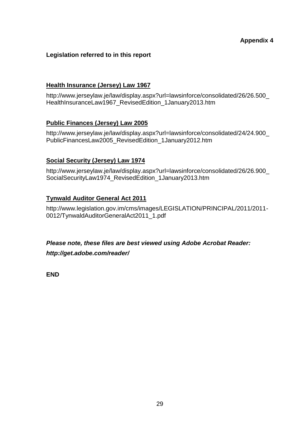### **Legislation referred to in this report**

#### **Health Insurance (Jersey) Law 1967**

http://www.jerseylaw.je/law/display.aspx?url=lawsinforce/consolidated/26/26.500\_ HealthInsuranceLaw1967\_RevisedEdition\_1January2013.htm

### **Public Finances (Jersey) Law 2005**

[http://www.jerseylaw.je/law/display.aspx?url=lawsinforce/consolidated/24/24.900\\_](http://www.jerseylaw.je/law/display.aspx?url=lawsinforce/consolidated/24/24.900_PublicFinancesLaw2005_RevisedEdition_1January2012.htm) [PublicFinancesLaw2005\\_RevisedEdition\\_1January2012.htm](http://www.jerseylaw.je/law/display.aspx?url=lawsinforce/consolidated/24/24.900_PublicFinancesLaw2005_RevisedEdition_1January2012.htm)

#### **Social Security (Jersey) Law 1974**

[http://www.jerseylaw.je/law/display.aspx?url=lawsinforce/consolidated/26/26.900\\_](http://www.jerseylaw.je/law/display.aspx?url=lawsinforce/consolidated/26/26.900_SocialSecurityLaw1974_RevisedEdition_1January2013.htm) [SocialSecurityLaw1974\\_RevisedEdition\\_1January2013.htm](http://www.jerseylaw.je/law/display.aspx?url=lawsinforce/consolidated/26/26.900_SocialSecurityLaw1974_RevisedEdition_1January2013.htm)

### **Tynwald Auditor General Act 2011**

http://www.legislation.gov.im/cms/images/LEGISLATION/PRINCIPAL/2011/2011- 0012/TynwaldAuditorGeneralAct2011\_1.pdf

*Please note, these files are best viewed using Adobe Acrobat Reader: <http://get.adobe.com/reader/>*

**END**